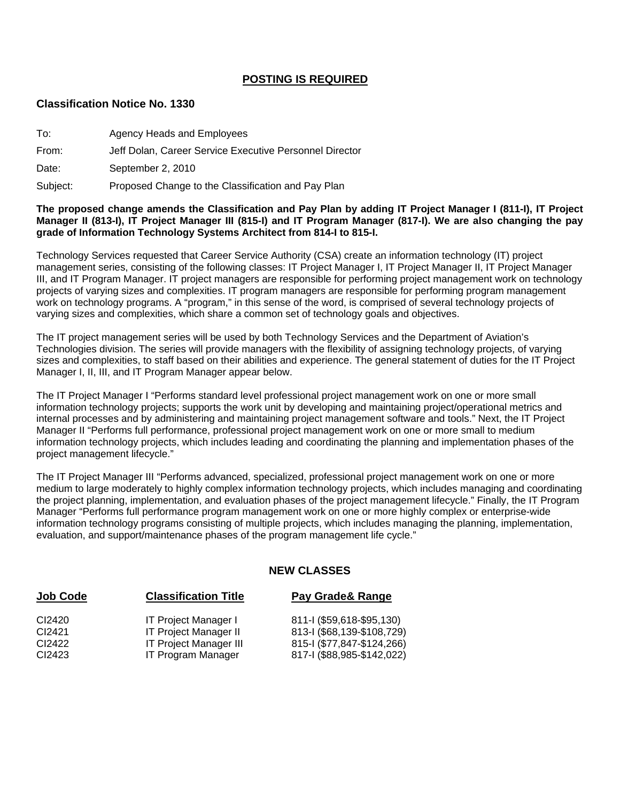### **POSTING IS REQUIRED**

#### **Classification Notice No. 1330**

| To:   | Agency Heads and Employees                              |
|-------|---------------------------------------------------------|
| From: | Jeff Dolan, Career Service Executive Personnel Director |
| Date: | September 2, 2010                                       |

Subject: Proposed Change to the Classification and Pay Plan

#### **The proposed change amends the Classification and Pay Plan by adding IT Project Manager I (811-I), IT Project Manager II (813-I), IT Project Manager III (815-I) and IT Program Manager (817-I). We are also changing the pay grade of Information Technology Systems Architect from 814-I to 815-I.**

Technology Services requested that Career Service Authority (CSA) create an information technology (IT) project management series, consisting of the following classes: IT Project Manager I, IT Project Manager II, IT Project Manager III, and IT Program Manager. IT project managers are responsible for performing project management work on technology projects of varying sizes and complexities. IT program managers are responsible for performing program management work on technology programs. A "program," in this sense of the word, is comprised of several technology projects of varying sizes and complexities, which share a common set of technology goals and objectives.

The IT project management series will be used by both Technology Services and the Department of Aviation's Technologies division. The series will provide managers with the flexibility of assigning technology projects, of varying sizes and complexities, to staff based on their abilities and experience. The general statement of duties for the IT Project Manager I, II, III, and IT Program Manager appear below.

The IT Project Manager I "Performs standard level professional project management work on one or more small information technology projects; supports the work unit by developing and maintaining project/operational metrics and internal processes and by administering and maintaining project management software and tools." Next, the IT Project Manager II "Performs full performance, professional project management work on one or more small to medium information technology projects, which includes leading and coordinating the planning and implementation phases of the project management lifecycle."

The IT Project Manager III "Performs advanced, specialized, professional project management work on one or more medium to large moderately to highly complex information technology projects, which includes managing and coordinating the project planning, implementation, and evaluation phases of the project management lifecycle." Finally, the IT Program Manager "Performs full performance program management work on one or more highly complex or enterprise-wide information technology programs consisting of multiple projects, which includes managing the planning, implementation, evaluation, and support/maintenance phases of the program management life cycle."

### **NEW CLASSES**

| <b>Classification Title</b>   | Pay Grade& Range           |
|-------------------------------|----------------------------|
| IT Project Manager I          | 811-I (\$59,618-\$95,130)  |
| <b>IT Project Manager II</b>  | 813-I (\$68,139-\$108,729) |
| <b>IT Project Manager III</b> | 815-1 (\$77,847-\$124,266) |
| <b>IT Program Manager</b>     | 817-1 (\$88,985-\$142,022) |
|                               |                            |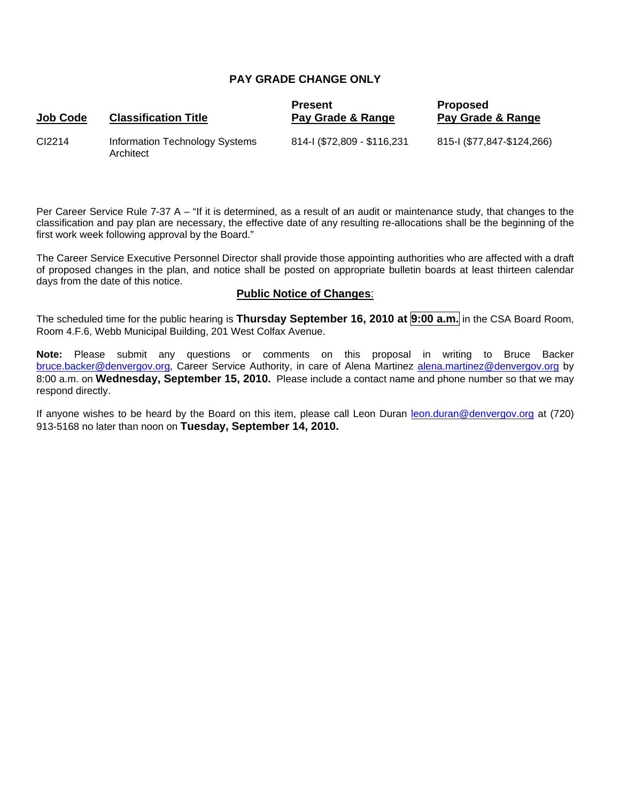### **PAY GRADE CHANGE ONLY**

| <b>Job Code</b> | <b>Classification Title</b>                 | <b>Present</b><br>Pay Grade & Range | <b>Proposed</b><br>Pay Grade & Range |
|-----------------|---------------------------------------------|-------------------------------------|--------------------------------------|
| CI2214          | Information Technology Systems<br>Architect | 814-1 (\$72,809 - \$116,231         | 815-1 (\$77,847-\$124,266)           |

Per Career Service Rule 7-37 A – "If it is determined, as a result of an audit or maintenance study, that changes to the classification and pay plan are necessary, the effective date of any resulting re-allocations shall be the beginning of the first work week following approval by the Board."

The Career Service Executive Personnel Director shall provide those appointing authorities who are affected with a draft of proposed changes in the plan, and notice shall be posted on appropriate bulletin boards at least thirteen calendar days from the date of this notice.

#### **Public Notice of Changes**:

The scheduled time for the public hearing is **Thursday September 16, 2010 at 9:00 a.m.** in the CSA Board Room, Room 4.F.6, Webb Municipal Building, 201 West Colfax Avenue.

**Note:** Please submit any questions or comments on this proposal in writing to Bruce Backer [bruce.backer@denvergov.org,](mailto:bruce.backer@denvergov.org) Career Service Authority, in care of Alena Martinez [alena.martinez@denvergov.org](mailto:alena.martinez@denvergov.org) by 8:00 a.m. on **Wednesday, September 15, 2010.** Please include a contact name and phone number so that we may respond directly.

If anyone wishes to be heard by the Board on this item, please call Leon Duran [leon.duran@denvergov.org](mailto:leon.duran@denvergov.org) at (720) 913-5168 no later than noon on **Tuesday, September 14, 2010.**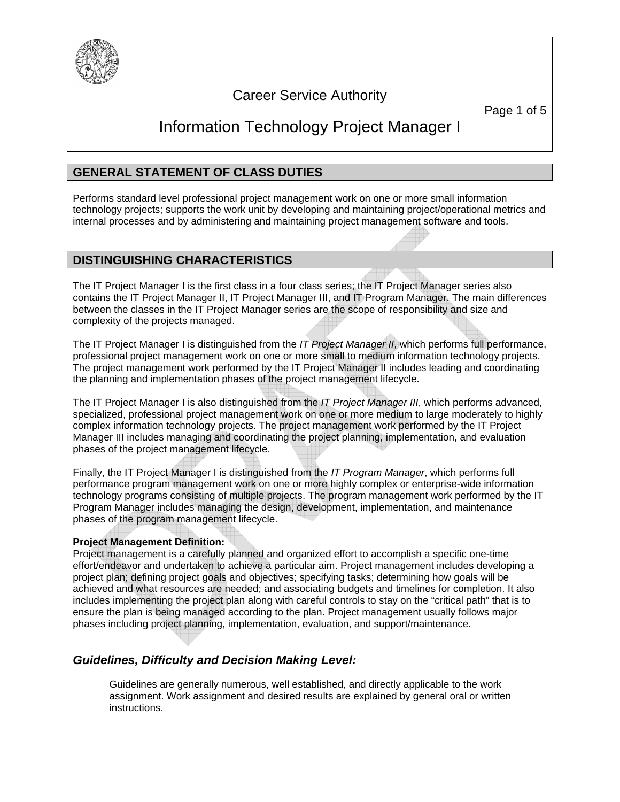

# Career Service Authority

Page 1 of 5

# Information Technology Project Manager I

# **GENERAL STATEMENT OF CLASS DUTIES**

Performs standard level professional project management work on one or more small information technology projects; supports the work unit by developing and maintaining project/operational metrics and internal processes and by administering and maintaining project management software and tools.

### **DISTINGUISHING CHARACTERISTICS**

The IT Project Manager I is the first class in a four class series; the IT Project Manager series also contains the IT Project Manager II, IT Project Manager III, and IT Program Manager. The main differences between the classes in the IT Project Manager series are the scope of responsibility and size and complexity of the projects managed.

The IT Project Manager I is distinguished from the *IT Project Manager II*, which performs full performance, professional project management work on one or more small to medium information technology projects. The project management work performed by the IT Project Manager II includes leading and coordinating the planning and implementation phases of the project management lifecycle.

The IT Project Manager I is also distinguished from the *IT Project Manager III*, which performs advanced, specialized, professional project management work on one or more medium to large moderately to highly complex information technology projects. The project management work performed by the IT Project Manager III includes managing and coordinating the project planning, implementation, and evaluation phases of the project management lifecycle.

Finally, the IT Project Manager I is distinguished from the *IT Program Manager*, which performs full performance program management work on one or more highly complex or enterprise-wide information technology programs consisting of multiple projects. The program management work performed by the IT Program Manager includes managing the design, development, implementation, and maintenance phases of the program management lifecycle.

### **Project Management Definition:**

Project management is a carefully planned and organized effort to accomplish a specific one-time effort/endeavor and undertaken to achieve a particular aim. Project management includes developing a project plan; defining project goals and objectives; specifying tasks; determining how goals will be achieved and what resources are needed; and associating budgets and timelines for completion. It also includes implementing the project plan along with careful controls to stay on the "critical path" that is to ensure the plan is being managed according to the plan. Project management usually follows major phases including project planning, implementation, evaluation, and support/maintenance.

# *Guidelines, Difficulty and Decision Making Level:*

Guidelines are generally numerous, well established, and directly applicable to the work assignment. Work assignment and desired results are explained by general oral or written instructions.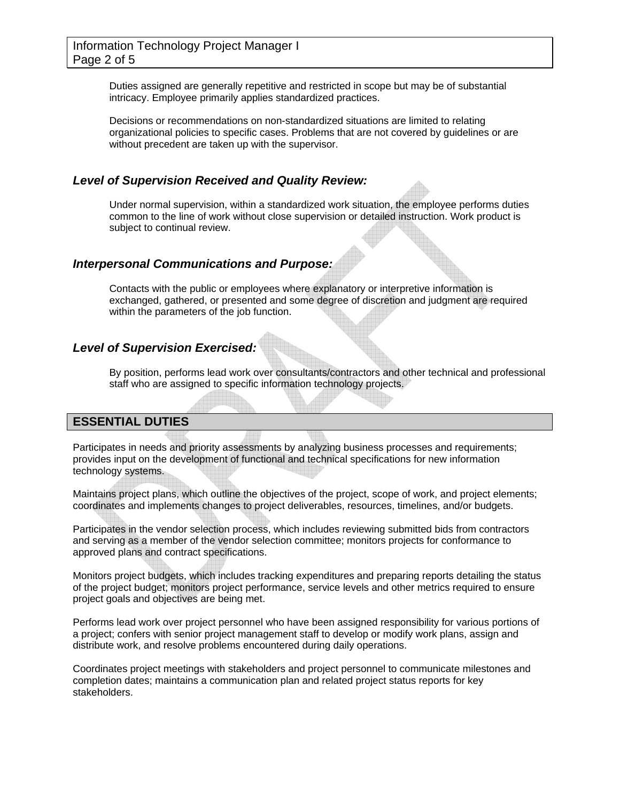Duties assigned are generally repetitive and restricted in scope but may be of substantial intricacy. Employee primarily applies standardized practices.

Decisions or recommendations on non-standardized situations are limited to relating organizational policies to specific cases. Problems that are not covered by guidelines or are without precedent are taken up with the supervisor.

### *Level of Supervision Received and Quality Review:*

Under normal supervision, within a standardized work situation, the employee performs duties common to the line of work without close supervision or detailed instruction. Work product is subject to continual review.

### *Interpersonal Communications and Purpose:*

Contacts with the public or employees where explanatory or interpretive information is exchanged, gathered, or presented and some degree of discretion and judgment are required within the parameters of the job function.

## *Level of Supervision Exercised:*

By position, performs lead work over consultants/contractors and other technical and professional staff who are assigned to specific information technology projects.

### **ESSENTIAL DUTIES**

Participates in needs and priority assessments by analyzing business processes and requirements; provides input on the development of functional and technical specifications for new information technology systems.

Maintains project plans, which outline the objectives of the project, scope of work, and project elements; coordinates and implements changes to project deliverables, resources, timelines, and/or budgets.

Participates in the vendor selection process, which includes reviewing submitted bids from contractors and serving as a member of the vendor selection committee; monitors projects for conformance to approved plans and contract specifications.

Monitors project budgets, which includes tracking expenditures and preparing reports detailing the status of the project budget; monitors project performance, service levels and other metrics required to ensure project goals and objectives are being met.

Performs lead work over project personnel who have been assigned responsibility for various portions of a project; confers with senior project management staff to develop or modify work plans, assign and distribute work, and resolve problems encountered during daily operations.

Coordinates project meetings with stakeholders and project personnel to communicate milestones and completion dates; maintains a communication plan and related project status reports for key stakeholders.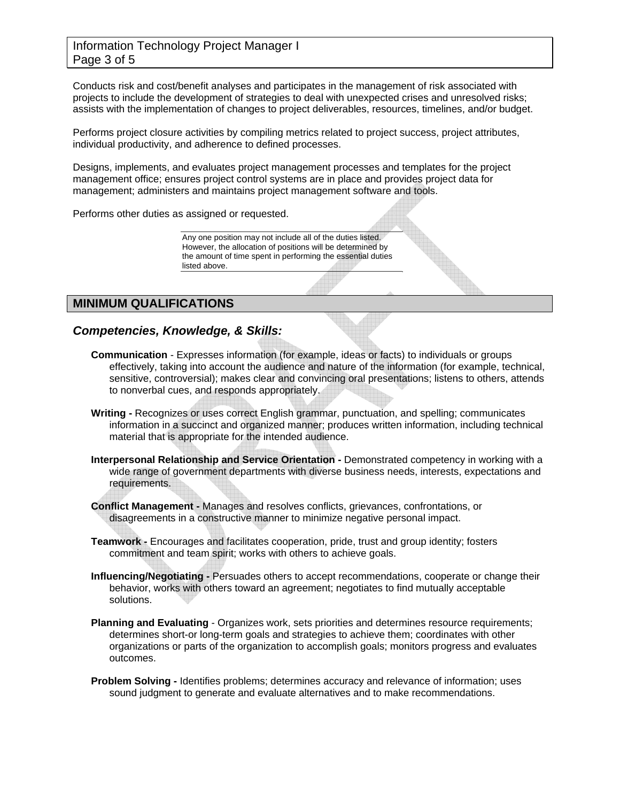### Information Technology Project Manager I Page 3 of 5

Conducts risk and cost/benefit analyses and participates in the management of risk associated with projects to include the development of strategies to deal with unexpected crises and unresolved risks; assists with the implementation of changes to project deliverables, resources, timelines, and/or budget.

Performs project closure activities by compiling metrics related to project success, project attributes, individual productivity, and adherence to defined processes.

Designs, implements, and evaluates project management processes and templates for the project management office; ensures project control systems are in place and provides project data for management; administers and maintains project management software and tools.

Performs other duties as assigned or requested.

Any one position may not include all of the duties listed. However, the allocation of positions will be determined by the amount of time spent in performing the essential duties listed above.

# **MINIMUM QUALIFICATIONS**

### *Competencies, Knowledge, & Skills:*

- **Communication** Expresses information (for example, ideas or facts) to individuals or groups effectively, taking into account the audience and nature of the information (for example, technical, sensitive, controversial); makes clear and convincing oral presentations; listens to others, attends to nonverbal cues, and responds appropriately.
- **Writing -** Recognizes or uses correct English grammar, punctuation, and spelling; communicates information in a succinct and organized manner; produces written information, including technical material that is appropriate for the intended audience.
- **Interpersonal Relationship and Service Orientation -** Demonstrated competency in working with a wide range of government departments with diverse business needs, interests, expectations and requirements.
- **Conflict Management -** Manages and resolves conflicts, grievances, confrontations, or disagreements in a constructive manner to minimize negative personal impact.
- **Teamwork -** Encourages and facilitates cooperation, pride, trust and group identity; fosters commitment and team spirit; works with others to achieve goals.
- **Influencing/Negotiating -** Persuades others to accept recommendations, cooperate or change their behavior, works with others toward an agreement; negotiates to find mutually acceptable solutions.
- **Planning and Evaluating** Organizes work, sets priorities and determines resource requirements; determines short-or long-term goals and strategies to achieve them; coordinates with other organizations or parts of the organization to accomplish goals; monitors progress and evaluates outcomes.
- **Problem Solving -** Identifies problems; determines accuracy and relevance of information; uses sound judgment to generate and evaluate alternatives and to make recommendations.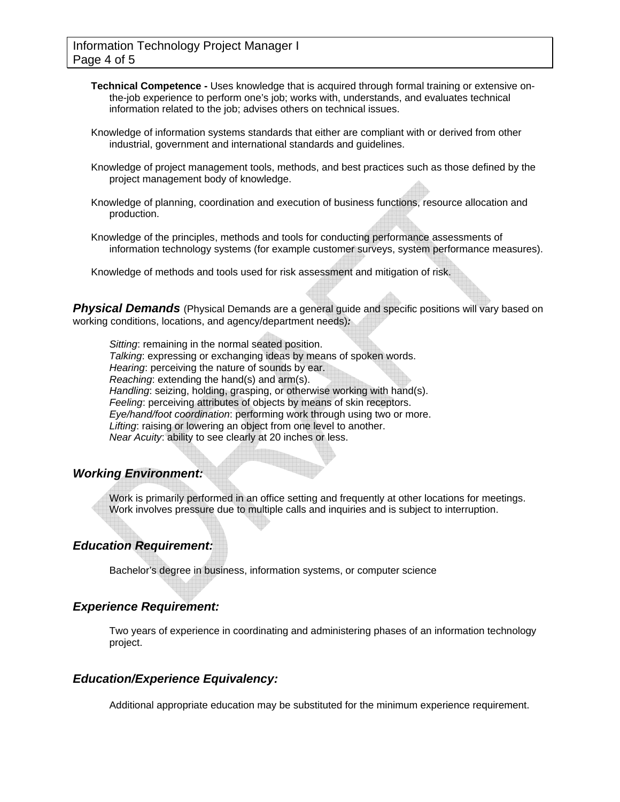- **Technical Competence -** Uses knowledge that is acquired through formal training or extensive onthe-job experience to perform one's job; works with, understands, and evaluates technical information related to the job; advises others on technical issues.
- Knowledge of information systems standards that either are compliant with or derived from other industrial, government and international standards and guidelines.
- Knowledge of project management tools, methods, and best practices such as those defined by the project management body of knowledge.
- Knowledge of planning, coordination and execution of business functions, resource allocation and production.
- Knowledge of the principles, methods and tools for conducting performance assessments of information technology systems (for example customer surveys, system performance measures).

Knowledge of methods and tools used for risk assessment and mitigation of risk.

**Physical Demands** (Physical Demands are a general guide and specific positions will vary based on working conditions, locations, and agency/department needs)*:* 

*Sitting*: remaining in the normal seated position. *Talking*: expressing or exchanging ideas by means of spoken words. *Hearing*: perceiving the nature of sounds by ear. *Reaching*: extending the hand(s) and arm(s). *Handling*: seizing, holding, grasping, or otherwise working with hand(s). *Feeling*: perceiving attributes of objects by means of skin receptors. *Eye/hand/foot coordination*: performing work through using two or more. *Lifting*: raising or lowering an object from one level to another. *Near Acuity*: ability to see clearly at 20 inches or less.

### *Working Environment:*

Work is primarily performed in an office setting and frequently at other locations for meetings. Work involves pressure due to multiple calls and inquiries and is subject to interruption.

### *Education Requirement:*

Bachelor's degree in business, information systems, or computer science

### *Experience Requirement:*

Two years of experience in coordinating and administering phases of an information technology project.

### *Education/Experience Equivalency:*

Additional appropriate education may be substituted for the minimum experience requirement.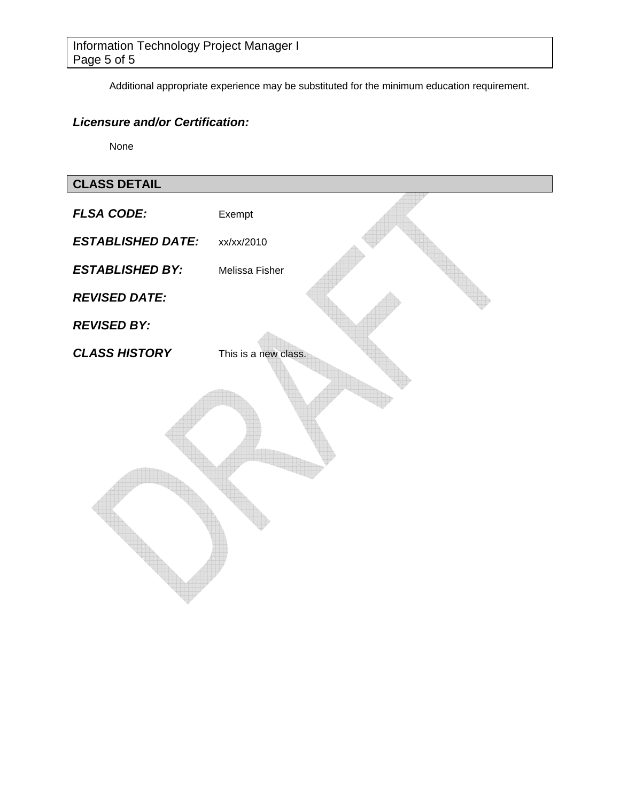Additional appropriate experience may be substituted for the minimum education requirement.

# *Licensure and/or Certification:*

None

# **CLASS DETAIL**

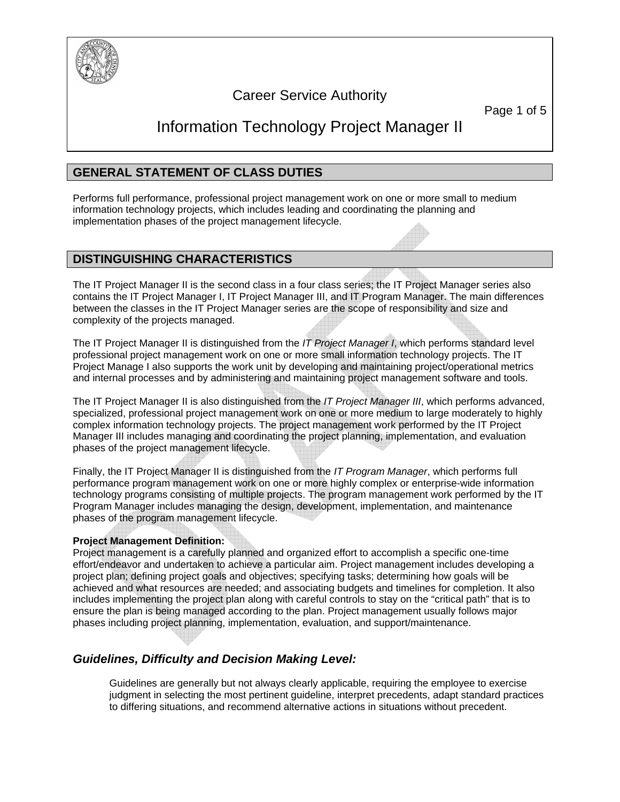

# Career Service Authority

Page 1 of 5

# Information Technology Project Manager II

# **GENERAL STATEMENT OF CLASS DUTIES**

Performs full performance, professional project management work on one or more small to medium information technology projects, which includes leading and coordinating the planning and implementation phases of the project management lifecycle.

## **DISTINGUISHING CHARACTERISTICS**

The IT Project Manager II is the second class in a four class series; the IT Project Manager series also contains the IT Project Manager I, IT Project Manager III, and IT Program Manager. The main differences between the classes in the IT Project Manager series are the scope of responsibility and size and complexity of the projects managed.

The IT Project Manager II is distinguished from the *IT Project Manager I*, which performs standard level professional project management work on one or more small information technology projects. The IT Project Manage I also supports the work unit by developing and maintaining project/operational metrics and internal processes and by administering and maintaining project management software and tools.

The IT Project Manager II is also distinguished from the *IT Project Manager III*, which performs advanced, specialized, professional project management work on one or more medium to large moderately to highly complex information technology projects. The project management work performed by the IT Project Manager III includes managing and coordinating the project planning, implementation, and evaluation phases of the project management lifecycle.

Finally, the IT Project Manager II is distinguished from the *IT Program Manager*, which performs full performance program management work on one or more highly complex or enterprise-wide information technology programs consisting of multiple projects. The program management work performed by the IT Program Manager includes managing the design, development, implementation, and maintenance phases of the program management lifecycle.

### **Project Management Definition:**

Project management is a carefully planned and organized effort to accomplish a specific one-time effort/endeavor and undertaken to achieve a particular aim. Project management includes developing a project plan; defining project goals and objectives; specifying tasks; determining how goals will be achieved and what resources are needed; and associating budgets and timelines for completion. It also includes implementing the project plan along with careful controls to stay on the "critical path" that is to ensure the plan is being managed according to the plan. Project management usually follows major phases including project planning, implementation, evaluation, and support/maintenance.

# *Guidelines, Difficulty and Decision Making Level:*

Guidelines are generally but not always clearly applicable, requiring the employee to exercise judgment in selecting the most pertinent guideline, interpret precedents, adapt standard practices to differing situations, and recommend alternative actions in situations without precedent.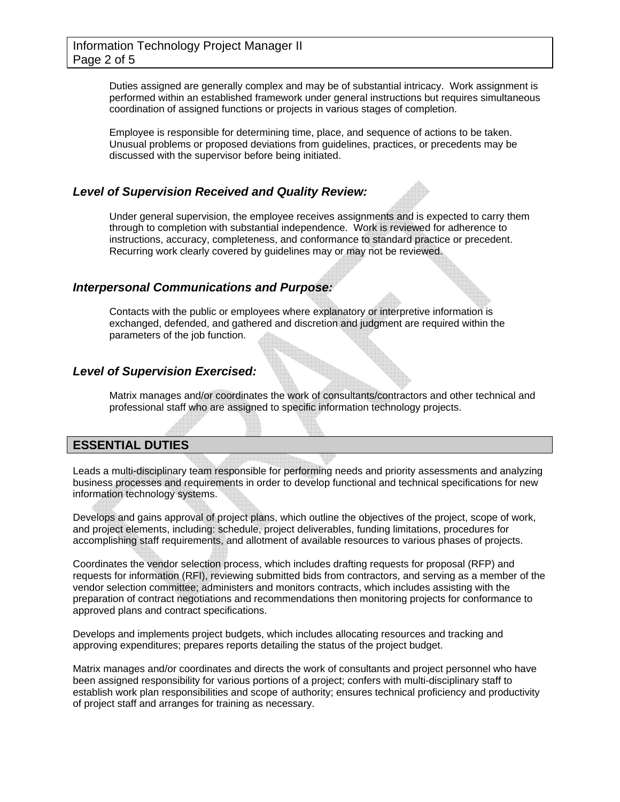Duties assigned are generally complex and may be of substantial intricacy. Work assignment is performed within an established framework under general instructions but requires simultaneous coordination of assigned functions or projects in various stages of completion.

Employee is responsible for determining time, place, and sequence of actions to be taken. Unusual problems or proposed deviations from guidelines, practices, or precedents may be discussed with the supervisor before being initiated.

### *Level of Supervision Received and Quality Review:*

Under general supervision, the employee receives assignments and is expected to carry them through to completion with substantial independence. Work is reviewed for adherence to instructions, accuracy, completeness, and conformance to standard practice or precedent. Recurring work clearly covered by guidelines may or may not be reviewed.

### *Interpersonal Communications and Purpose:*

Contacts with the public or employees where explanatory or interpretive information is exchanged, defended, and gathered and discretion and judgment are required within the parameters of the job function.

### *Level of Supervision Exercised:*

Matrix manages and/or coordinates the work of consultants/contractors and other technical and professional staff who are assigned to specific information technology projects.

### **ESSENTIAL DUTIES**

Leads a multi-disciplinary team responsible for performing needs and priority assessments and analyzing business processes and requirements in order to develop functional and technical specifications for new information technology systems.

Develops and gains approval of project plans, which outline the objectives of the project, scope of work, and project elements, including: schedule, project deliverables, funding limitations, procedures for accomplishing staff requirements, and allotment of available resources to various phases of projects.

Coordinates the vendor selection process, which includes drafting requests for proposal (RFP) and requests for information (RFI), reviewing submitted bids from contractors, and serving as a member of the vendor selection committee; administers and monitors contracts, which includes assisting with the preparation of contract negotiations and recommendations then monitoring projects for conformance to approved plans and contract specifications.

Develops and implements project budgets, which includes allocating resources and tracking and approving expenditures; prepares reports detailing the status of the project budget.

Matrix manages and/or coordinates and directs the work of consultants and project personnel who have been assigned responsibility for various portions of a project; confers with multi-disciplinary staff to establish work plan responsibilities and scope of authority; ensures technical proficiency and productivity of project staff and arranges for training as necessary.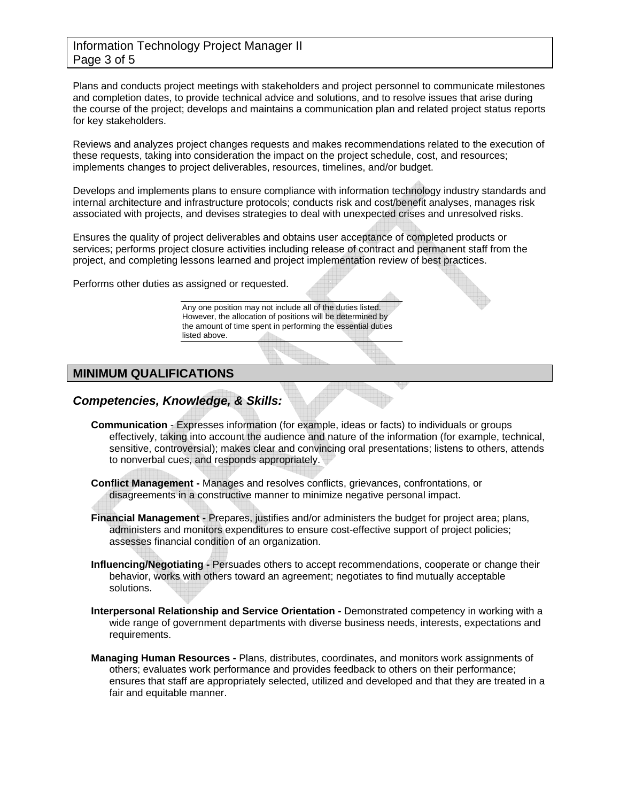### Information Technology Project Manager II Page 3 of 5

Plans and conducts project meetings with stakeholders and project personnel to communicate milestones and completion dates, to provide technical advice and solutions, and to resolve issues that arise during the course of the project; develops and maintains a communication plan and related project status reports for key stakeholders.

Reviews and analyzes project changes requests and makes recommendations related to the execution of these requests, taking into consideration the impact on the project schedule, cost, and resources; implements changes to project deliverables, resources, timelines, and/or budget.

Develops and implements plans to ensure compliance with information technology industry standards and internal architecture and infrastructure protocols; conducts risk and cost/benefit analyses, manages risk associated with projects, and devises strategies to deal with unexpected crises and unresolved risks.

Ensures the quality of project deliverables and obtains user acceptance of completed products or services; performs project closure activities including release of contract and permanent staff from the project, and completing lessons learned and project implementation review of best practices.

Performs other duties as assigned or requested.

Any one position may not include all of the duties listed. However, the allocation of positions will be determined by the amount of time spent in performing the essential duties listed above.

## **MINIMUM QUALIFICATIONS**

## *Competencies, Knowledge, & Skills:*

**Communication** - Expresses information (for example, ideas or facts) to individuals or groups effectively, taking into account the audience and nature of the information (for example, technical, sensitive, controversial); makes clear and convincing oral presentations; listens to others, attends to nonverbal cues, and responds appropriately.

**Conflict Management -** Manages and resolves conflicts, grievances, confrontations, or disagreements in a constructive manner to minimize negative personal impact.

- **Financial Management -** Prepares, justifies and/or administers the budget for project area; plans, administers and monitors expenditures to ensure cost-effective support of project policies; assesses financial condition of an organization.
- **Influencing/Negotiating -** Persuades others to accept recommendations, cooperate or change their behavior, works with others toward an agreement; negotiates to find mutually acceptable solutions.
- **Interpersonal Relationship and Service Orientation -** Demonstrated competency in working with a wide range of government departments with diverse business needs, interests, expectations and requirements.
- **Managing Human Resources -** Plans, distributes, coordinates, and monitors work assignments of others; evaluates work performance and provides feedback to others on their performance; ensures that staff are appropriately selected, utilized and developed and that they are treated in a fair and equitable manner.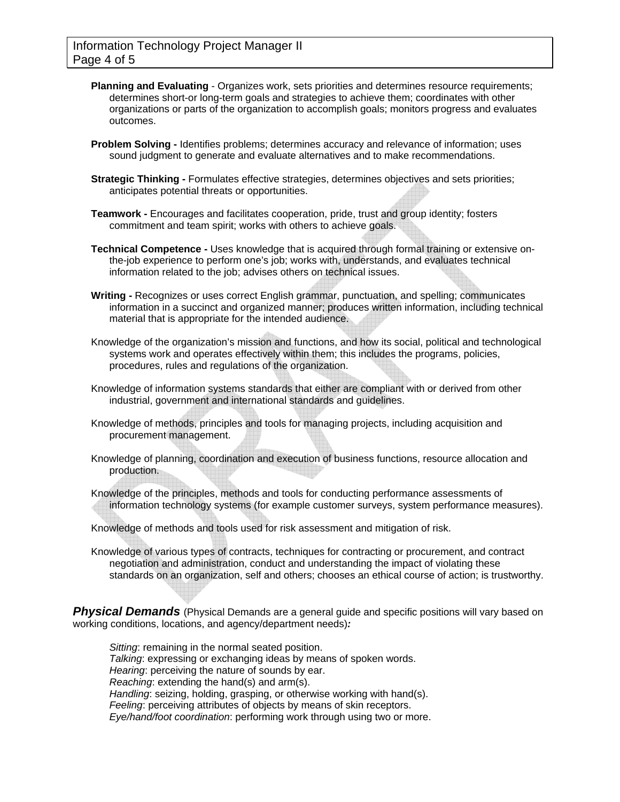- **Planning and Evaluating** Organizes work, sets priorities and determines resource requirements; determines short-or long-term goals and strategies to achieve them; coordinates with other organizations or parts of the organization to accomplish goals; monitors progress and evaluates outcomes.
- **Problem Solving -** Identifies problems; determines accuracy and relevance of information; uses sound judgment to generate and evaluate alternatives and to make recommendations.
- **Strategic Thinking -** Formulates effective strategies, determines objectives and sets priorities; anticipates potential threats or opportunities.
- **Teamwork -** Encourages and facilitates cooperation, pride, trust and group identity; fosters commitment and team spirit; works with others to achieve goals.
- **Technical Competence -** Uses knowledge that is acquired through formal training or extensive onthe-job experience to perform one's job; works with, understands, and evaluates technical information related to the job; advises others on technical issues.
- **Writing -** Recognizes or uses correct English grammar, punctuation, and spelling; communicates information in a succinct and organized manner; produces written information, including technical material that is appropriate for the intended audience.
- Knowledge of the organization's mission and functions, and how its social, political and technological systems work and operates effectively within them; this includes the programs, policies, procedures, rules and regulations of the organization.
- Knowledge of information systems standards that either are compliant with or derived from other industrial, government and international standards and guidelines.
- Knowledge of methods, principles and tools for managing projects, including acquisition and procurement management.
- Knowledge of planning, coordination and execution of business functions, resource allocation and production.
- Knowledge of the principles, methods and tools for conducting performance assessments of information technology systems (for example customer surveys, system performance measures).
- Knowledge of methods and tools used for risk assessment and mitigation of risk.
- Knowledge of various types of contracts, techniques for contracting or procurement, and contract negotiation and administration, conduct and understanding the impact of violating these standards on an organization, self and others; chooses an ethical course of action; is trustworthy.

**Physical Demands** (Physical Demands are a general quide and specific positions will vary based on working conditions, locations, and agency/department needs)*:* 

*Sitting*: remaining in the normal seated position. *Talking*: expressing or exchanging ideas by means of spoken words. *Hearing*: perceiving the nature of sounds by ear. *Reaching*: extending the hand(s) and arm(s). *Handling*: seizing, holding, grasping, or otherwise working with hand(s). *Feeling*: perceiving attributes of objects by means of skin receptors. *Eye/hand/foot coordination*: performing work through using two or more.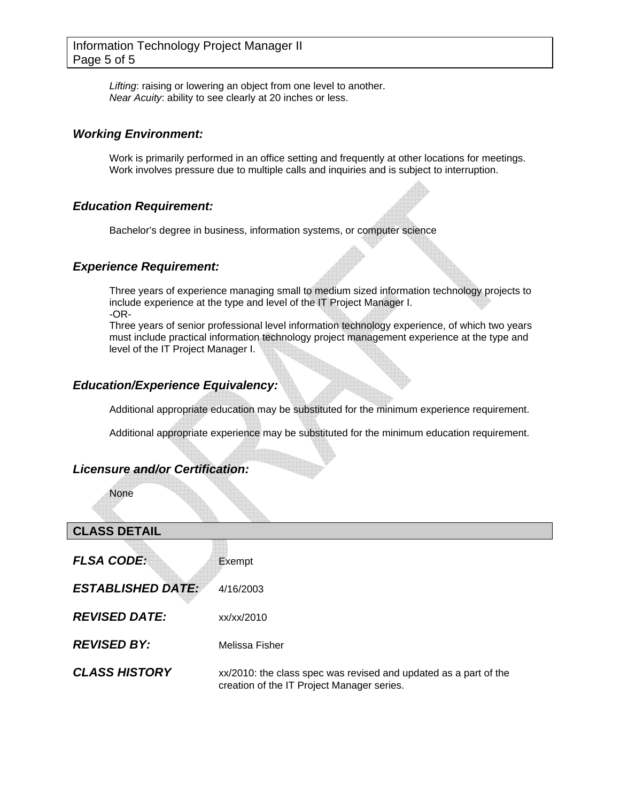*Lifting*: raising or lowering an object from one level to another. *Near Acuity*: ability to see clearly at 20 inches or less.

### *Working Environment:*

Work is primarily performed in an office setting and frequently at other locations for meetings. Work involves pressure due to multiple calls and inquiries and is subject to interruption.

### *Education Requirement:*

Bachelor's degree in business, information systems, or computer science

### *Experience Requirement:*

Three years of experience managing small to medium sized information technology projects to include experience at the type and level of the IT Project Manager I. -OR-

Three years of senior professional level information technology experience, of which two years must include practical information technology project management experience at the type and level of the IT Project Manager I.

### *Education/Experience Equivalency:*

Additional appropriate education may be substituted for the minimum experience requirement.

Additional appropriate experience may be substituted for the minimum education requirement.

# *Licensure and/or Certification:*

None

## **CLASS DETAIL**

| <b>FLSA CODE:</b>        | Exempt           |
|--------------------------|------------------|
| <b>ESTABLISHED DATE:</b> | 4/16/2003        |
| <b>REVISED DATE:</b>     | xx/xx/2010       |
| <b>REVISED BY:</b>       | Melissa Fisher   |
| <b>CLASS HISTORY</b>     | xx/2010: the cla |

**P** class spec was revised and updated as a part of the creation of the IT Project Manager series.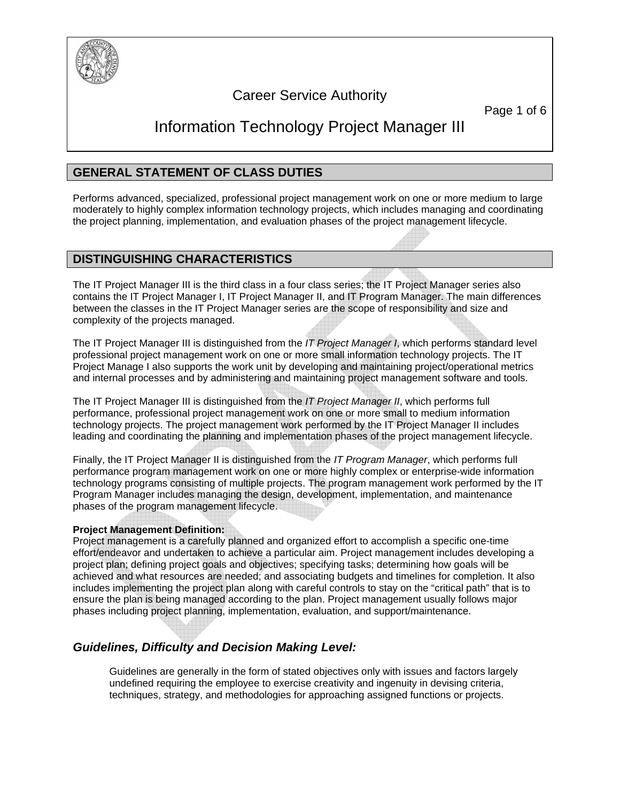

# Career Service Authority

Page 1 of 6

# Information Technology Project Manager III

# **GENERAL STATEMENT OF CLASS DUTIES**

Performs advanced, specialized, professional project management work on one or more medium to large moderately to highly complex information technology projects, which includes managing and coordinating the project planning, implementation, and evaluation phases of the project management lifecycle.

### **DISTINGUISHING CHARACTERISTICS**

The IT Project Manager III is the third class in a four class series; the IT Project Manager series also contains the IT Project Manager I, IT Project Manager II, and IT Program Manager. The main differences between the classes in the IT Project Manager series are the scope of responsibility and size and complexity of the projects managed.

The IT Project Manager III is distinguished from the *IT Project Manager I*, which performs standard level professional project management work on one or more small information technology projects. The IT Project Manage I also supports the work unit by developing and maintaining project/operational metrics and internal processes and by administering and maintaining project management software and tools.

The IT Project Manager III is distinguished from the *IT Project Manager II*, which performs full performance, professional project management work on one or more small to medium information technology projects. The project management work performed by the IT Project Manager II includes leading and coordinating the planning and implementation phases of the project management lifecycle.

Finally, the IT Project Manager II is distinguished from the *IT Program Manager*, which performs full performance program management work on one or more highly complex or enterprise-wide information technology programs consisting of multiple projects. The program management work performed by the IT Program Manager includes managing the design, development, implementation, and maintenance phases of the program management lifecycle.

### **Project Management Definition:**

Project management is a carefully planned and organized effort to accomplish a specific one-time effort/endeavor and undertaken to achieve a particular aim. Project management includes developing a project plan; defining project goals and objectives; specifying tasks; determining how goals will be achieved and what resources are needed; and associating budgets and timelines for completion. It also includes implementing the project plan along with careful controls to stay on the "critical path" that is to ensure the plan is being managed according to the plan. Project management usually follows major phases including project planning, implementation, evaluation, and support/maintenance.

# *Guidelines, Difficulty and Decision Making Level:*

Guidelines are generally in the form of stated objectives only with issues and factors largely undefined requiring the employee to exercise creativity and ingenuity in devising criteria, techniques, strategy, and methodologies for approaching assigned functions or projects.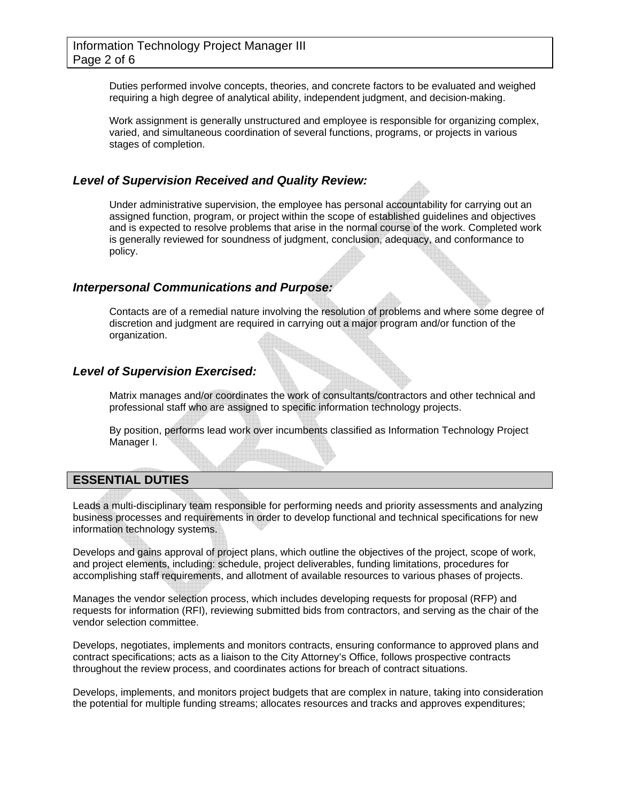Duties performed involve concepts, theories, and concrete factors to be evaluated and weighed requiring a high degree of analytical ability, independent judgment, and decision-making.

Work assignment is generally unstructured and employee is responsible for organizing complex, varied, and simultaneous coordination of several functions, programs, or projects in various stages of completion.

### *Level of Supervision Received and Quality Review:*

Under administrative supervision, the employee has personal accountability for carrying out an assigned function, program, or project within the scope of established guidelines and objectives and is expected to resolve problems that arise in the normal course of the work. Completed work is generally reviewed for soundness of judgment, conclusion, adequacy, and conformance to policy.

### *Interpersonal Communications and Purpose:*

Contacts are of a remedial nature involving the resolution of problems and where some degree of discretion and judgment are required in carrying out a major program and/or function of the organization.

### *Level of Supervision Exercised:*

Matrix manages and/or coordinates the work of consultants/contractors and other technical and professional staff who are assigned to specific information technology projects.

By position, performs lead work over incumbents classified as Information Technology Project Manager I.

### **ESSENTIAL DUTIES**

Leads a multi-disciplinary team responsible for performing needs and priority assessments and analyzing business processes and requirements in order to develop functional and technical specifications for new information technology systems.

Develops and gains approval of project plans, which outline the objectives of the project, scope of work, and project elements, including: schedule, project deliverables, funding limitations, procedures for accomplishing staff requirements, and allotment of available resources to various phases of projects.

Manages the vendor selection process, which includes developing requests for proposal (RFP) and requests for information (RFI), reviewing submitted bids from contractors, and serving as the chair of the vendor selection committee.

Develops, negotiates, implements and monitors contracts, ensuring conformance to approved plans and contract specifications; acts as a liaison to the City Attorney's Office, follows prospective contracts throughout the review process, and coordinates actions for breach of contract situations.

Develops, implements, and monitors project budgets that are complex in nature, taking into consideration the potential for multiple funding streams; allocates resources and tracks and approves expenditures;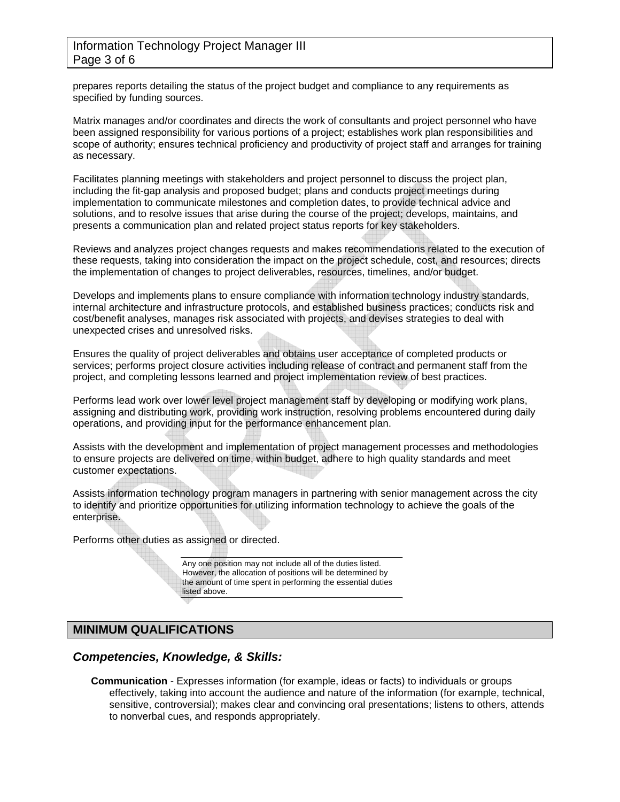### Information Technology Project Manager III Page 3 of 6

prepares reports detailing the status of the project budget and compliance to any requirements as specified by funding sources.

Matrix manages and/or coordinates and directs the work of consultants and project personnel who have been assigned responsibility for various portions of a project; establishes work plan responsibilities and scope of authority; ensures technical proficiency and productivity of project staff and arranges for training as necessary.

Facilitates planning meetings with stakeholders and project personnel to discuss the project plan, including the fit-gap analysis and proposed budget; plans and conducts project meetings during implementation to communicate milestones and completion dates, to provide technical advice and solutions, and to resolve issues that arise during the course of the project; develops, maintains, and presents a communication plan and related project status reports for key stakeholders.

Reviews and analyzes project changes requests and makes recommendations related to the execution of these requests, taking into consideration the impact on the project schedule, cost, and resources; directs the implementation of changes to project deliverables, resources, timelines, and/or budget.

Develops and implements plans to ensure compliance with information technology industry standards, internal architecture and infrastructure protocols, and established business practices; conducts risk and cost/benefit analyses, manages risk associated with projects, and devises strategies to deal with unexpected crises and unresolved risks.

Ensures the quality of project deliverables and obtains user acceptance of completed products or services; performs project closure activities including release of contract and permanent staff from the project, and completing lessons learned and project implementation review of best practices.

Performs lead work over lower level project management staff by developing or modifying work plans, assigning and distributing work, providing work instruction, resolving problems encountered during daily operations, and providing input for the performance enhancement plan.

Assists with the development and implementation of project management processes and methodologies to ensure projects are delivered on time, within budget, adhere to high quality standards and meet customer expectations.

Assists information technology program managers in partnering with senior management across the city to identify and prioritize opportunities for utilizing information technology to achieve the goals of the enterprise.

Performs other duties as assigned or directed.

Any one position may not include all of the duties listed. However, the allocation of positions will be determined by the amount of time spent in performing the essential duties listed above.

# **MINIMUM QUALIFICATIONS**

### *Competencies, Knowledge, & Skills:*

**Communication** - Expresses information (for example, ideas or facts) to individuals or groups effectively, taking into account the audience and nature of the information (for example, technical, sensitive, controversial); makes clear and convincing oral presentations; listens to others, attends to nonverbal cues, and responds appropriately.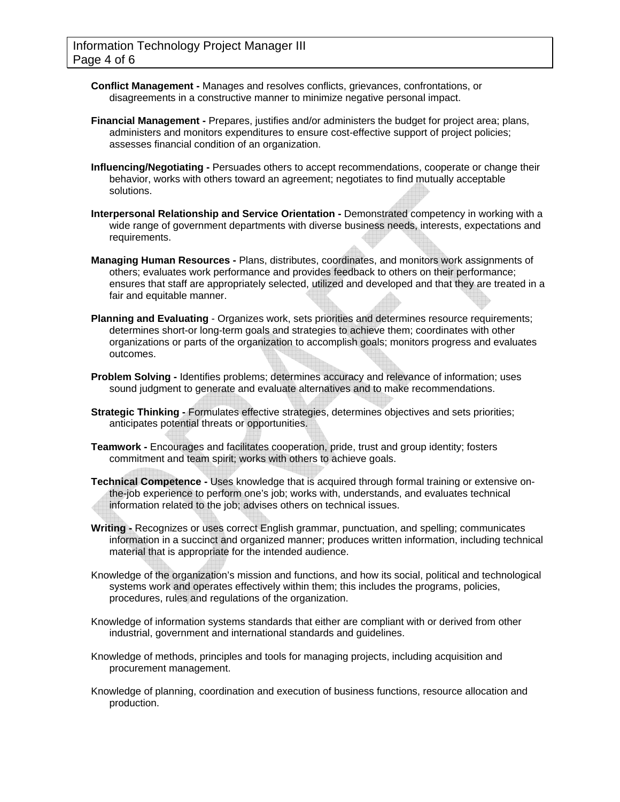- **Conflict Management -** Manages and resolves conflicts, grievances, confrontations, or disagreements in a constructive manner to minimize negative personal impact.
- **Financial Management -** Prepares, justifies and/or administers the budget for project area; plans, administers and monitors expenditures to ensure cost-effective support of project policies; assesses financial condition of an organization.
- **Influencing/Negotiating -** Persuades others to accept recommendations, cooperate or change their behavior, works with others toward an agreement; negotiates to find mutually acceptable solutions.
- **Interpersonal Relationship and Service Orientation -** Demonstrated competency in working with a wide range of government departments with diverse business needs, interests, expectations and requirements.
- **Managing Human Resources -** Plans, distributes, coordinates, and monitors work assignments of others; evaluates work performance and provides feedback to others on their performance; ensures that staff are appropriately selected, utilized and developed and that they are treated in a fair and equitable manner.
- **Planning and Evaluating** Organizes work, sets priorities and determines resource requirements; determines short-or long-term goals and strategies to achieve them; coordinates with other organizations or parts of the organization to accomplish goals; monitors progress and evaluates outcomes.
- **Problem Solving -** Identifies problems; determines accuracy and relevance of information; uses sound judgment to generate and evaluate alternatives and to make recommendations.
- **Strategic Thinking -** Formulates effective strategies, determines objectives and sets priorities; anticipates potential threats or opportunities.
- **Teamwork -** Encourages and facilitates cooperation, pride, trust and group identity; fosters commitment and team spirit; works with others to achieve goals.
- **Technical Competence -** Uses knowledge that is acquired through formal training or extensive onthe-job experience to perform one's job; works with, understands, and evaluates technical information related to the job; advises others on technical issues.
- **Writing -** Recognizes or uses correct English grammar, punctuation, and spelling; communicates information in a succinct and organized manner; produces written information, including technical material that is appropriate for the intended audience.
- Knowledge of the organization's mission and functions, and how its social, political and technological systems work and operates effectively within them; this includes the programs, policies, procedures, rules and regulations of the organization.
- Knowledge of information systems standards that either are compliant with or derived from other industrial, government and international standards and guidelines.
- Knowledge of methods, principles and tools for managing projects, including acquisition and procurement management.
- Knowledge of planning, coordination and execution of business functions, resource allocation and production.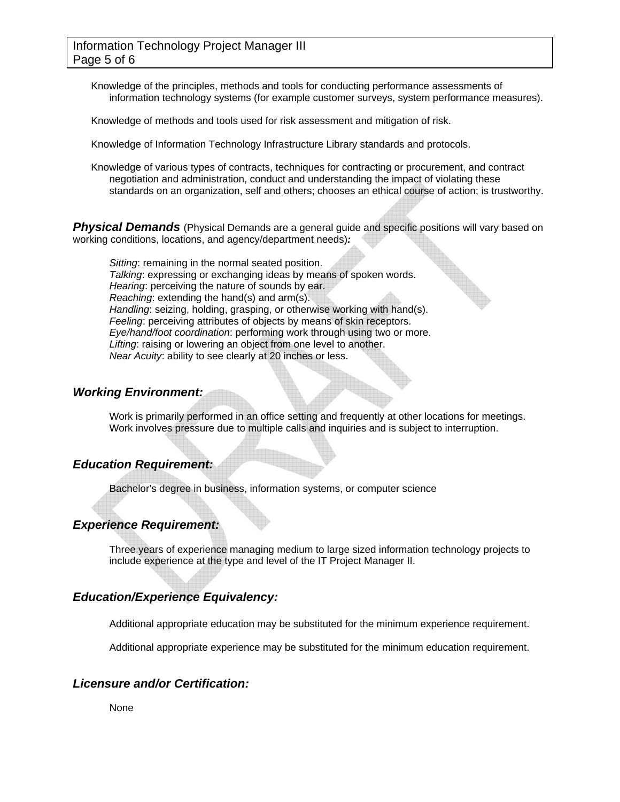Knowledge of the principles, methods and tools for conducting performance assessments of information technology systems (for example customer surveys, system performance measures).

Knowledge of methods and tools used for risk assessment and mitigation of risk.

Knowledge of Information Technology Infrastructure Library standards and protocols.

Knowledge of various types of contracts, techniques for contracting or procurement, and contract negotiation and administration, conduct and understanding the impact of violating these standards on an organization, self and others; chooses an ethical course of action; is trustworthy.

**Physical Demands** (Physical Demands are a general guide and specific positions will vary based on working conditions, locations, and agency/department needs)*:* 

*Sitting*: remaining in the normal seated position. *Talking*: expressing or exchanging ideas by means of spoken words. *Hearing*: perceiving the nature of sounds by ear. *Reaching*: extending the hand(s) and arm(s). *Handling*: seizing, holding, grasping, or otherwise working with hand(s). *Feeling*: perceiving attributes of objects by means of skin receptors. *Eye/hand/foot coordination*: performing work through using two or more. *Lifting*: raising or lowering an object from one level to another. *Near Acuity*: ability to see clearly at 20 inches or less.

### *Working Environment:*

Work is primarily performed in an office setting and frequently at other locations for meetings. Work involves pressure due to multiple calls and inquiries and is subject to interruption.

### *Education Requirement:*

Bachelor's degree in business, information systems, or computer science

### *Experience Requirement:*

Three years of experience managing medium to large sized information technology projects to include experience at the type and level of the IT Project Manager II.

### *Education/Experience Equivalency:*

Additional appropriate education may be substituted for the minimum experience requirement.

Additional appropriate experience may be substituted for the minimum education requirement.

### *Licensure and/or Certification:*

None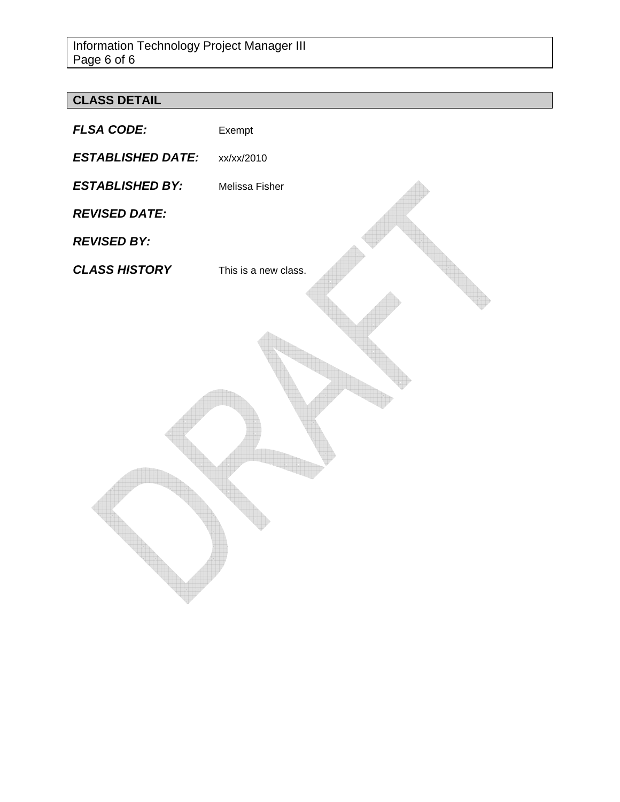# **CLASS DETAIL**

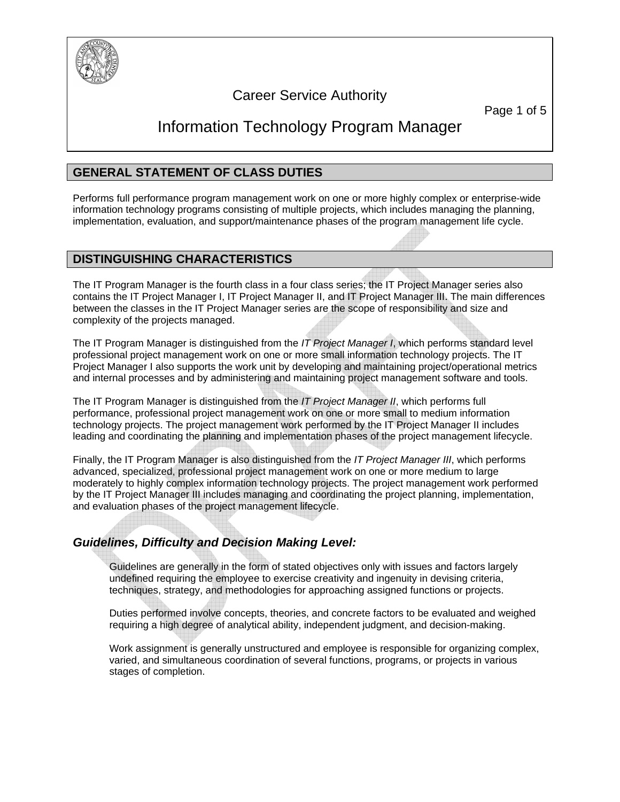

# Career Service Authority

Page 1 of 5

# Information Technology Program Manager

# **GENERAL STATEMENT OF CLASS DUTIES**

Performs full performance program management work on one or more highly complex or enterprise-wide information technology programs consisting of multiple projects, which includes managing the planning, implementation, evaluation, and support/maintenance phases of the program management life cycle.

### **DISTINGUISHING CHARACTERISTICS**

The IT Program Manager is the fourth class in a four class series; the IT Project Manager series also contains the IT Project Manager I, IT Project Manager II, and IT Project Manager III. The main differences between the classes in the IT Project Manager series are the scope of responsibility and size and complexity of the projects managed.

The IT Program Manager is distinguished from the *IT Project Manager I*, which performs standard level professional project management work on one or more small information technology projects. The IT Project Manager I also supports the work unit by developing and maintaining project/operational metrics and internal processes and by administering and maintaining project management software and tools.

The IT Program Manager is distinguished from the *IT Project Manager II*, which performs full performance, professional project management work on one or more small to medium information technology projects. The project management work performed by the IT Project Manager II includes leading and coordinating the planning and implementation phases of the project management lifecycle.

Finally, the IT Program Manager is also distinguished from the *IT Project Manager III*, which performs advanced, specialized, professional project management work on one or more medium to large moderately to highly complex information technology projects. The project management work performed by the IT Project Manager III includes managing and coordinating the project planning, implementation, and evaluation phases of the project management lifecycle.

# *Guidelines, Difficulty and Decision Making Level:*

Guidelines are generally in the form of stated objectives only with issues and factors largely undefined requiring the employee to exercise creativity and ingenuity in devising criteria, techniques, strategy, and methodologies for approaching assigned functions or projects.

Duties performed involve concepts, theories, and concrete factors to be evaluated and weighed requiring a high degree of analytical ability, independent judgment, and decision-making.

Work assignment is generally unstructured and employee is responsible for organizing complex, varied, and simultaneous coordination of several functions, programs, or projects in various stages of completion.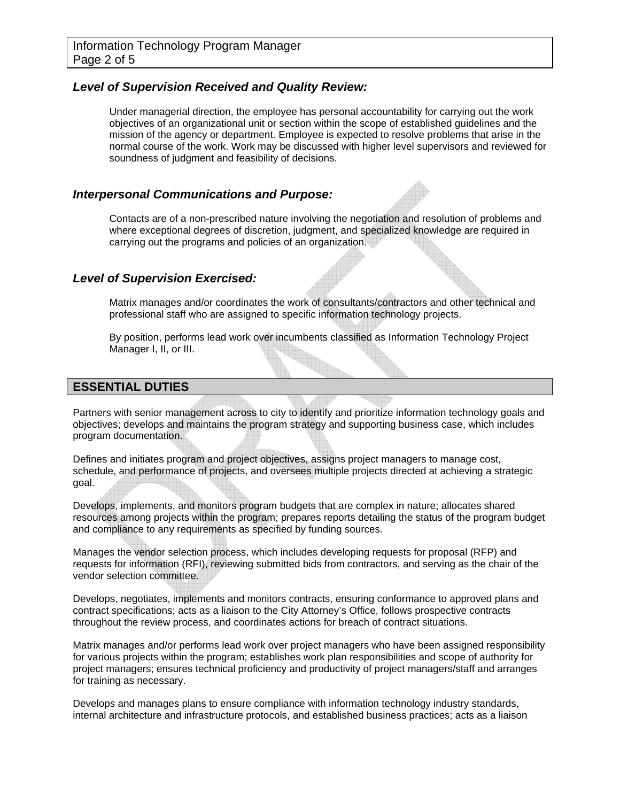### *Level of Supervision Received and Quality Review:*

Under managerial direction, the employee has personal accountability for carrying out the work objectives of an organizational unit or section within the scope of established guidelines and the mission of the agency or department. Employee is expected to resolve problems that arise in the normal course of the work. Work may be discussed with higher level supervisors and reviewed for soundness of judgment and feasibility of decisions.

### *Interpersonal Communications and Purpose:*

Contacts are of a non-prescribed nature involving the negotiation and resolution of problems and where exceptional degrees of discretion, judgment, and specialized knowledge are required in carrying out the programs and policies of an organization.

### *Level of Supervision Exercised:*

Matrix manages and/or coordinates the work of consultants/contractors and other technical and professional staff who are assigned to specific information technology projects.

By position, performs lead work over incumbents classified as Information Technology Project Manager I, II, or III.

### **ESSENTIAL DUTIES**

Partners with senior management across to city to identify and prioritize information technology goals and objectives; develops and maintains the program strategy and supporting business case, which includes program documentation.

Defines and initiates program and project objectives, assigns project managers to manage cost, schedule, and performance of projects, and oversees multiple projects directed at achieving a strategic goal.

Develops, implements, and monitors program budgets that are complex in nature; allocates shared resources among projects within the program; prepares reports detailing the status of the program budget and compliance to any requirements as specified by funding sources.

Manages the vendor selection process, which includes developing requests for proposal (RFP) and requests for information (RFI), reviewing submitted bids from contractors, and serving as the chair of the vendor selection committee.

Develops, negotiates, implements and monitors contracts, ensuring conformance to approved plans and contract specifications; acts as a liaison to the City Attorney's Office, follows prospective contracts throughout the review process, and coordinates actions for breach of contract situations.

Matrix manages and/or performs lead work over project managers who have been assigned responsibility for various projects within the program; establishes work plan responsibilities and scope of authority for project managers; ensures technical proficiency and productivity of project managers/staff and arranges for training as necessary.

Develops and manages plans to ensure compliance with information technology industry standards, internal architecture and infrastructure protocols, and established business practices; acts as a liaison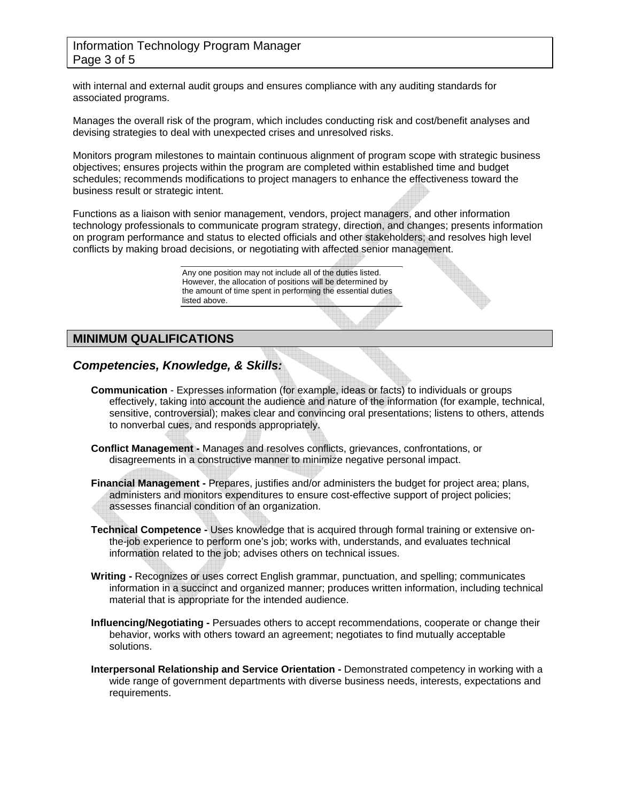### Information Technology Program Manager Page 3 of 5

with internal and external audit groups and ensures compliance with any auditing standards for associated programs.

Manages the overall risk of the program, which includes conducting risk and cost/benefit analyses and devising strategies to deal with unexpected crises and unresolved risks.

Monitors program milestones to maintain continuous alignment of program scope with strategic business objectives; ensures projects within the program are completed within established time and budget schedules; recommends modifications to project managers to enhance the effectiveness toward the business result or strategic intent.

Functions as a liaison with senior management, vendors, project managers, and other information technology professionals to communicate program strategy, direction, and changes; presents information on program performance and status to elected officials and other stakeholders; and resolves high level conflicts by making broad decisions, or negotiating with affected senior management.

> Any one position may not include all of the duties listed. However, the allocation of positions will be determined by the amount of time spent in performing the essential duties listed above.

# **MINIMUM QUALIFICATIONS**

# *Competencies, Knowledge, & Skills:*

- **Communication** Expresses information (for example, ideas or facts) to individuals or groups effectively, taking into account the audience and nature of the information (for example, technical, sensitive, controversial); makes clear and convincing oral presentations; listens to others, attends to nonverbal cues, and responds appropriately.
- **Conflict Management -** Manages and resolves conflicts, grievances, confrontations, or disagreements in a constructive manner to minimize negative personal impact.
- **Financial Management -** Prepares, justifies and/or administers the budget for project area; plans, administers and monitors expenditures to ensure cost-effective support of project policies; assesses financial condition of an organization.
- **Technical Competence -** Uses knowledge that is acquired through formal training or extensive onthe-job experience to perform one's job; works with, understands, and evaluates technical information related to the job; advises others on technical issues.
- **Writing -** Recognizes or uses correct English grammar, punctuation, and spelling; communicates information in a succinct and organized manner; produces written information, including technical material that is appropriate for the intended audience.
- **Influencing/Negotiating -** Persuades others to accept recommendations, cooperate or change their behavior, works with others toward an agreement; negotiates to find mutually acceptable solutions.
- **Interpersonal Relationship and Service Orientation -** Demonstrated competency in working with a wide range of government departments with diverse business needs, interests, expectations and requirements.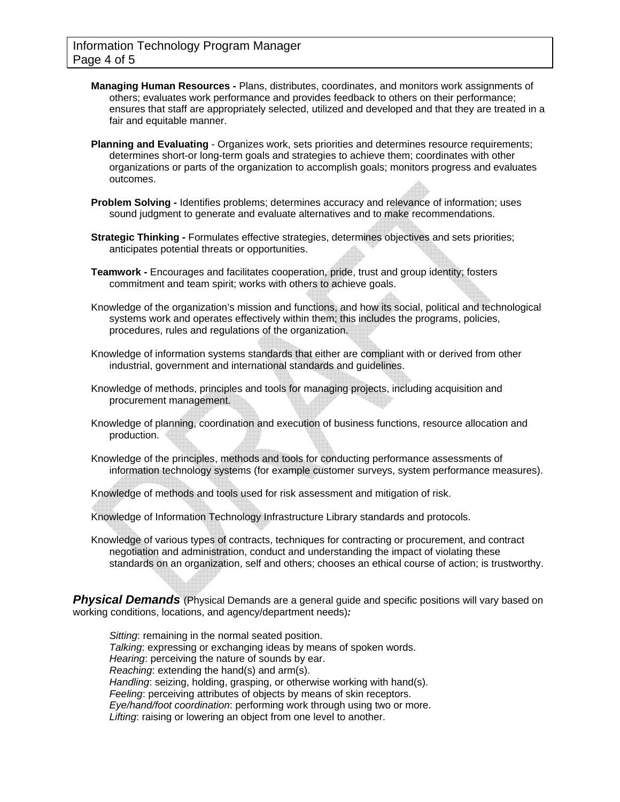- **Managing Human Resources -** Plans, distributes, coordinates, and monitors work assignments of others; evaluates work performance and provides feedback to others on their performance; ensures that staff are appropriately selected, utilized and developed and that they are treated in a fair and equitable manner.
- **Planning and Evaluating** Organizes work, sets priorities and determines resource requirements; determines short-or long-term goals and strategies to achieve them; coordinates with other organizations or parts of the organization to accomplish goals; monitors progress and evaluates outcomes.
- **Problem Solving -** Identifies problems; determines accuracy and relevance of information; uses sound iudgment to generate and evaluate alternatives and to make recommendations.
- **Strategic Thinking -** Formulates effective strategies, determines objectives and sets priorities; anticipates potential threats or opportunities.
- **Teamwork -** Encourages and facilitates cooperation, pride, trust and group identity; fosters commitment and team spirit; works with others to achieve goals.
- Knowledge of the organization's mission and functions, and how its social, political and technological systems work and operates effectively within them; this includes the programs, policies, procedures, rules and regulations of the organization.
- Knowledge of information systems standards that either are compliant with or derived from other industrial, government and international standards and guidelines.
- Knowledge of methods, principles and tools for managing projects, including acquisition and procurement management.
- Knowledge of planning, coordination and execution of business functions, resource allocation and production.
- Knowledge of the principles, methods and tools for conducting performance assessments of information technology systems (for example customer surveys, system performance measures).
- Knowledge of methods and tools used for risk assessment and mitigation of risk.
- Knowledge of Information Technology Infrastructure Library standards and protocols.
- Knowledge of various types of contracts, techniques for contracting or procurement, and contract negotiation and administration, conduct and understanding the impact of violating these standards on an organization, self and others; chooses an ethical course of action; is trustworthy.

**Physical Demands** (Physical Demands are a general guide and specific positions will vary based on working conditions, locations, and agency/department needs)*:* 

*Sitting*: remaining in the normal seated position. *Talking*: expressing or exchanging ideas by means of spoken words. *Hearing*: perceiving the nature of sounds by ear. *Reaching*: extending the hand(s) and arm(s). *Handling*: seizing, holding, grasping, or otherwise working with hand(s). *Feeling*: perceiving attributes of objects by means of skin receptors. *Eye/hand/foot coordination*: performing work through using two or more. *Lifting*: raising or lowering an object from one level to another.